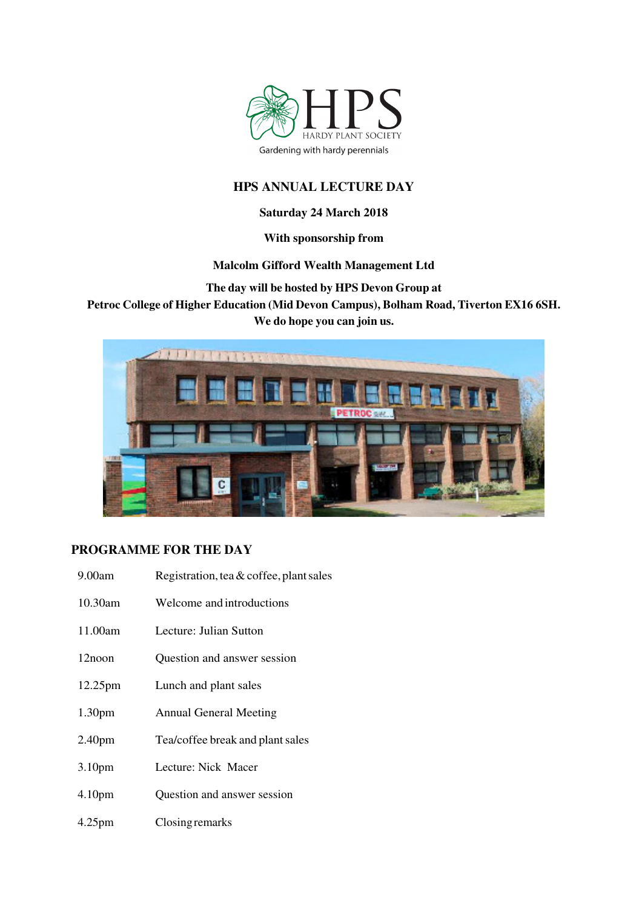

# **HPS ANNUAL LECTURE DAY**

## **Saturday 24 March 2018**

## **With sponsorship from**

# **Malcolm Gifford Wealth Management Ltd**

**The day will be hosted by HPS Devon Group at** 

**Petroc College of Higher Education (Mid Devon Campus), Bolham Road, Tiverton EX16 6SH. We do hope you can join us.** 



# **PROGRAMME FOR THE DAY**

| 9.00am             | Registration, tea $&$ coffee, plant sales |
|--------------------|-------------------------------------------|
| $10.30$ am         | Welcome and introductions                 |
| 11.00am            | Lecture: Julian Sutton                    |
| 12noon             | Question and answer session               |
| 12.25pm            | Lunch and plant sales                     |
| 1.30 <sub>pm</sub> | <b>Annual General Meeting</b>             |
| 2.40 <sub>pm</sub> | Tea/coffee break and plant sales          |
| 3.10 <sub>pm</sub> | Lecture: Nick Macer                       |
| 4.10 <sub>pm</sub> | Question and answer session               |
| $4.25$ pm          | Closing remarks                           |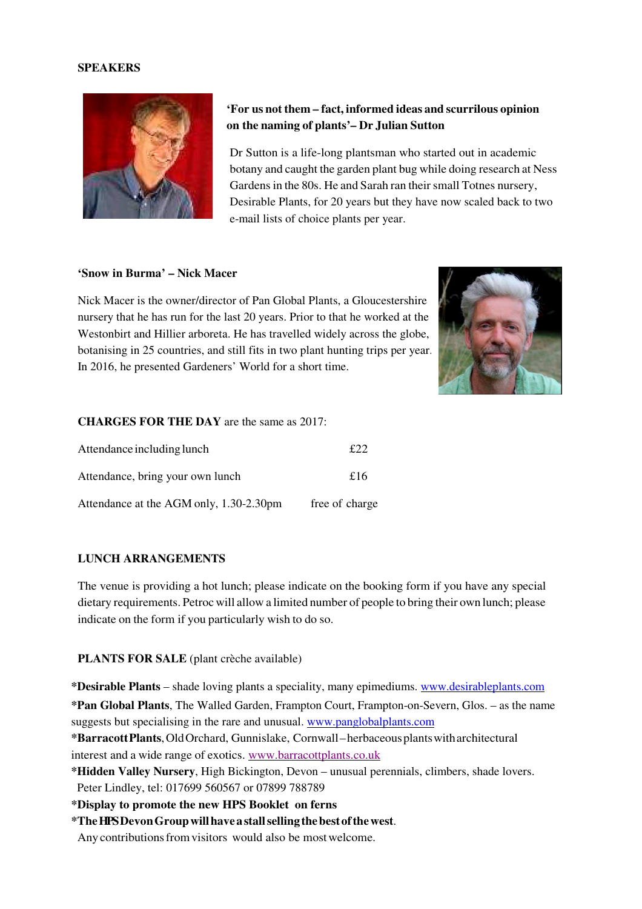### **SPEAKERS**



# **'For us not them – fact, informed ideas and scurrilous opinion on the naming of plants'– Dr Julian Sutton**

Dr Sutton is a life-long plantsman who started out in academic botany and caught the garden plant bug while doing research at Ness Gardens in the 80s. He and Sarah ran their small Totnes nursery, Desirable Plants, for 20 years but they have now scaled back to two e-mail lists of choice plants per year.

#### **'Snow in Burma' – Nick Macer**

Nick Macer is the owner/director of Pan Global Plants, a Gloucestershire nursery that he has run for the last 20 years. Prior to that he worked at the Westonbirt and Hillier arboreta. He has travelled widely across the globe, botanising in 25 countries, and still fits in two plant hunting trips per year. In 2016, he presented Gardeners' World for a short time.



#### **CHARGES FOR THE DAY** are the same as 2017:

| Attendance including lunch              | f22            |
|-----------------------------------------|----------------|
| Attendance, bring your own lunch        | £16            |
| Attendance at the AGM only, 1.30-2.30pm | free of charge |

#### **LUNCH ARRANGEMENTS**

The venue is providing a hot lunch; please indicate on the booking form if you have any special dietary requirements. Petroc will allow a limited number of people to bring their own lunch; please indicate on the form if you particularly wish to do so.

### **PLANTS FOR SALE** (plant crèche available)

**\*Desirable Plants** – shade loving plants a speciality, many epimediums. www.desirableplants.com **\*Pan Global Plants**, The Walled Garden, Frampton Court, Frampton-on-Severn, Glos. – as the name suggests but specialising in the rare and unusual. www.panglobalplants.com

**\*Barracott Plants**, Old Orchard, Gunnislake, Cornwall – herbaceous plants with architectural interest and a wide range of exotics. www.barracottplants.co.uk

**\*Hidden Valley Nursery**, High Bickington, Devon – unusual perennials, climbers, shade lovers. Peter Lindley, tel: 017699 560567 or 07899 788789

**\*Display to promote the new HPS Booklet on ferns**

**\*The HPS Devon Group will have a stall selling the best of the west**.

Any contributions from visitors would also be most welcome.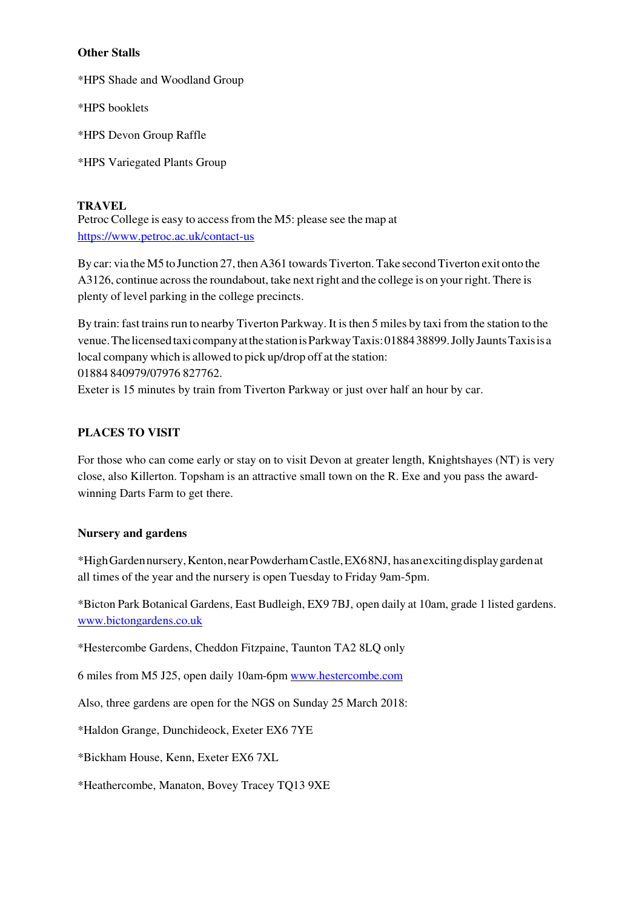### **Other Stalls**

\*HPS Shade and Woodland Group

\*HPS booklets

\*HPS Devon Group Raffle

\*HPS Variegated Plants Group

### **TRAVEL**

Petroc College is easy to access from the M5: please see the map at https://www.petroc.ac.uk/contact-us

By car: via the M5 to Junction 27, then A361 towards Tiverton. Take second Tiverton exit onto the A3126, continue across the roundabout, take next right and the college is on your right. There is plenty of level parking in the college precincts.

By train: fast trains run to nearby Tiverton Parkway. It is then 5 miles by taxi from the station to the venue. The licensed taxi company at the station is Parkway Taxis: 01884 38899. Jolly Jaunts Taxis is a local company which is allowed to pick up/drop off at the station: 01884 840979/07976 827762.

Exeter is 15 minutes by train from Tiverton Parkway or just over half an hour by car.

## **PLACES TO VISIT**

For those who can come early or stay on to visit Devon at greater length, Knightshayes (NT) is very close, also Killerton. Topsham is an attractive small town on the R. Exe and you pass the awardwinning Darts Farm to get there.

### **Nursery and gardens**

\*High Garden nursery, Kenton, near Powderham Castle, EX6 8NJ, has an exciting display garden at all times of the year and the nursery is open Tuesday to Friday 9am-5pm.

\*Bicton Park Botanical Gardens, East Budleigh, EX9 7BJ, open daily at 10am, grade 1 listed gardens. www.bictongardens.co.uk

\*Hestercombe Gardens, Cheddon Fitzpaine, Taunton TA2 8LQ only

6 miles from M5 J25, open daily 10am-6pm www.hestercombe.com

Also, three gardens are open for the NGS on Sunday 25 March 2018:

\*Haldon Grange, Dunchideock, Exeter EX6 7YE

\*Bickham House, Kenn, Exeter EX6 7XL

\*Heathercombe, Manaton, Bovey Tracey TQ13 9XE